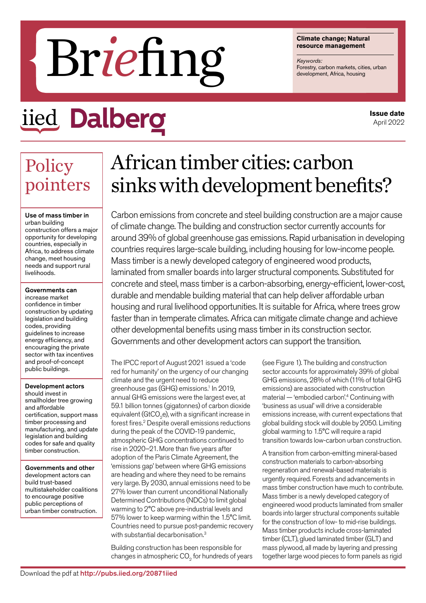# FIPTE DISCRESS (The Velopment, Africa, housing

## iied Dalbero

**Climate change; Natural resource management**

*Keywords:*

**Issue date** April 2022

## Policy pointers

Use of mass timber in urban building construction offers a major opportunity for developing countries, especially in Africa, to address climate change, meet housing needs and support rural livelihoods.

#### Governments can

increase market confidence in timber construction by updating legislation and building codes, providing guidelines to increase energy efficiency, and encouraging the private sector with tax incentives and proof-of-concept public buildings.

#### Development actors

should invest in smallholder tree growing and affordable certification, support mass timber processing and manufacturing, and update legislation and building codes for safe and quality timber construction.

Governments and other development actors can build trust-based multistakeholder coalitions to encourage positive public perceptions of urban timber construction.

## African timber cities: carbon sinks with development benefits?

Carbon emissions from concrete and steel building construction are a major cause of climate change. The building and construction sector currently accounts for around 39% of global greenhouse gas emissions. Rapid urbanisation in developing countries requires large-scale building, including housing for low-income people. Mass timber is a newly developed category of engineered wood products, laminated from smaller boards into larger structural components. Substituted for concrete and steel, mass timber is a carbon-absorbing, energy-efficient, lower-cost, durable and mendable building material that can help deliver affordable urban housing and rural livelihood opportunities. It is suitable for Africa, where trees grow faster than in temperate climates. Africa can mitigate climate change and achieve other developmental benefits using mass timber in its construction sector. Governments and other development actors can support the transition.

The IPCC report of August 2021 issued a 'code red for humanity' on the urgency of our changing climate and the urgent need to reduce greenhouse gas (GHG) emissions.<sup>1</sup> In 2019, annual GHG emissions were the largest ever, at 59.1 billion tonnes (gigatonnes) of carbon dioxide equivalent (GtCO $_{\textrm{\tiny{2}}}$ e), with a significant increase in forest fires.<sup>2</sup> Despite overall emissions reductions during the peak of the COVID-19 pandemic, atmospheric GHG concentrations continued to rise in 2020–21. More than five years after adoption of the Paris Climate Agreement, the 'emissions gap' between where GHG emissions are heading and where they need to be remains very large. By 2030, annual emissions need to be 27% lower than current unconditional Nationally Determined Contributions (NDCs) to limit global warming to 2°C above pre-industrial levels and 57% lower to keep warming within the 1.5°C limit. Countries need to pursue post-pandemic recovery with substantial decarbonisation.<sup>3</sup>

Building construction has been responsible for changes in atmospheric CO $_{\text{2}}$  for hundreds of years (see Figure 1). The building and construction sector accounts for approximately 39% of global GHG emissions, 28% of which (11% of total GHG emissions) are associated with construction material — 'embodied carbon'.4 Continuing with 'business as usual' will drive a considerable emissions increase, with current expectations that global building stock will double by 2050. Limiting global warming to 1.5°C will require a rapid transition towards low-carbon urban construction.

A transition from carbon-emitting mineral-based construction materials to carbon-absorbing regeneration and renewal-based materials is urgently required. Forests and advancements in mass timber construction have much to contribute. Mass timber is a newly developed category of engineered wood products laminated from smaller boards into larger structural components suitable for the construction of low- to mid-rise buildings. Mass timber products include cross-laminated timber (CLT), glued laminated timber (GLT) and mass plywood, all made by layering and pressing together large wood pieces to form panels as rigid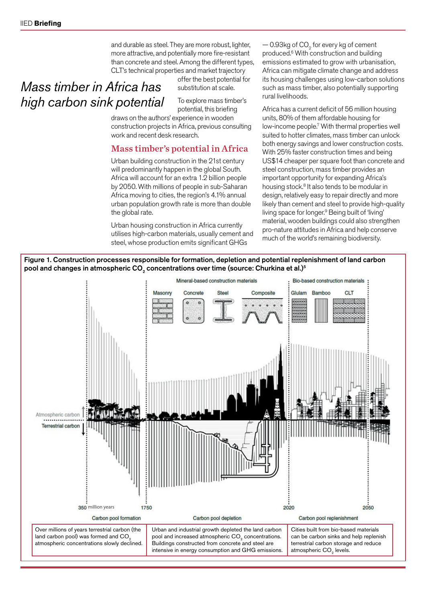*Mass timber in Africa has* 

*high carbon sink potential*

and durable as steel. They are more robust, lighter, more attractive, and potentially more fire-resistant than concrete and steel. Among the different types, CLT's technical properties and market trajectory

> offer the best potential for substitution at scale.

To explore mass timber's potential, this briefing

draws on the authors' experience in wooden construction projects in Africa, previous consulting work and recent desk research.

#### Mass timber's potential in Africa

Urban building construction in the 21st century will predominantly happen in the global South. Africa will account for an extra 1.2 billion people by 2050. With millions of people in sub-Saharan Africa moving to cities, the region's 4.1% annual urban population growth rate is more than double the global rate.

Urban housing construction in Africa currently utilises high-carbon materials, usually cement and steel, whose production emits significant GHGs

 $-$  0.93kg of CO $_{\textrm{\tiny{2}}}$  for every kg of cement produced.6 With construction and building emissions estimated to grow with urbanisation, Africa can mitigate climate change and address its housing challenges using low-carbon solutions such as mass timber, also potentially supporting rural livelihoods.

Africa has a current deficit of 56 million housing units, 80% of them affordable housing for low-income people.7 With thermal properties well suited to hotter climates, mass timber can unlock both energy savings and lower construction costs. With 25% faster construction times and being US\$14 cheaper per square foot than concrete and steel construction, mass timber provides an important opportunity for expanding Africa's housing stock.<sup>8</sup> It also tends to be modular in design, relatively easy to repair directly and more likely than cement and steel to provide high-quality living space for longer.<sup>9</sup> Being built of 'living' material, wooden buildings could also strengthen pro-nature attitudes in Africa and help conserve much of the world's remaining biodiversity.

Figure 1. Construction processes responsible for formation, depletion and potential replenishment of land carbon pool and changes in atmospheric CO $_{_2}$  concentrations over time (source: Churkina et al.) $^{\rm 5}$ 

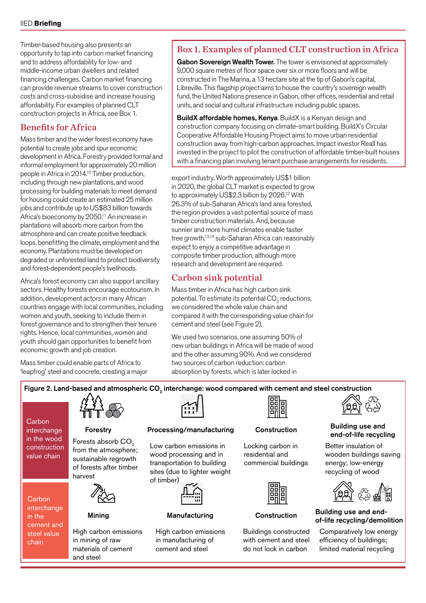Timber-based housing also presents an opportunity to tap into carbon market financing and to address affordability for low- and middle-income urban dwellers and related financing challenges. Carbon market financing can provide revenue streams to cover construction costs and cross-subsidise and increase housing affordability. For examples of planned CLT construction projects in Africa, see Box 1.

#### Benefits for Africa

Mass timber and the wider forest economy have potential to create jobs and spur economic development in Africa. Forestry provided formal and informal employment for approximately 20 million people in Africa in 2014.10 Timber production, including through new plantations, and wood processing for building materials to meet demand for housing could create an estimated 25 million jobs and contribute up to US\$83 billion towards Africa's bioeconomy by 2050.<sup>11</sup> An increase in plantations will absorb more carbon from the atmosphere and can create positive feedback loops, benefitting the climate, employment and the economy. Plantations must be developed on degraded or unforested land to protect biodiversity and forest-dependent people's livelihoods.

Africa's forest economy can also support ancillary sectors. Healthy forests encourage ecotourism. In addition, development actors in many African countries engage with local communities, including women and youth, seeking to include them in forest governance and to strengthen their tenure rights. Hence, local communities, women and youth should gain opportunities to benefit from economic growth and job creation.

Mass timber could enable parts of Africa to 'leapfrog' steel and concrete, creating a major

### Box 1. Examples of planned CLT construction in Africa

Gabon Sovereign Wealth Tower. The tower is envisioned at approximately 9,000 square metres of floor space over six or more floors and will be constructed in The Marina, a 13 hectare site at the tip of Gabon's capital, Libreville. This flagship project aims to house the country's sovereign wealth fund, the United Nations presence in Gabon, other offices, residential and retail units, and social and cultural infrastructure including public spaces.

BuildX affordable homes, Kenya. BuildX is a Kenyan design and construction company focusing on climate-smart building. BuildX's Circular Cooperative Affordable Housing Project aims to move urban residential construction away from high-carbon approaches. Impact investor Reall has invested in the project to pilot the construction of affordable timber-built houses with a financing plan involving tenant purchase arrangements for residents.

export industry. Worth approximately US\$1 billion in 2020, the global CLT market is expected to grow to approximately US\$2.3 billion by 2026.12 With 26.3% of sub-Saharan Africa's land area forested, the region provides a vast potential source of mass timber construction materials. And, because sunnier and more humid climates enable faster tree growth,<sup>13,14</sup> sub-Saharan Africa can reasonably expect to enjoy a competitive advantage in composite timber production, although more research and development are required.

#### Carbon sink potential

Mass timber in Africa has high carbon sink potential. To estimate its potential CO $_{\textrm{\tiny{2}}}$  reductions, we considered the whole value chain and compared it with the corresponding value chain for cement and steel (see Figure 2).

We used two scenarios, one assuming 50% of new urban buildings in Africa will be made of wood and the other assuming 90%. And we considered two sources of carbon reduction: carbon absorption by forests, which is later locked in

#### Figure 2. Land-based and atmospheric CO<sub>2</sub> interchange: wood compared with cement and steel construction

**Carbon** interchange in the wood construction value chain

**Carbon** interchange in the cement and steel value chain



Forests absorb CO<sub>2</sub> from the atmosphere; sustainable regrowth of forests after timber harvest



Mining

High carbon emissions in mining of raw materials of cement and steel



#### Forestry Processing/manufacturing

Low carbon emissions in wood processing and in transportation to building sites (due to lighter weight of timber)



#### Manufacturing

High carbon emissions in manufacturing of cement and steel



#### Construction

Locking carbon in residential and commercial buildings



#### **Construction**

Buildings constructed with cement and steel do not lock in carbon



#### Building use and end-of-life recycling

Better insulation of wooden buildings saving energy; low-energy recycling of wood



#### Building use and endof-life recycling/demolition

Comparatively low energy efficiency of buildings; limited material recycling